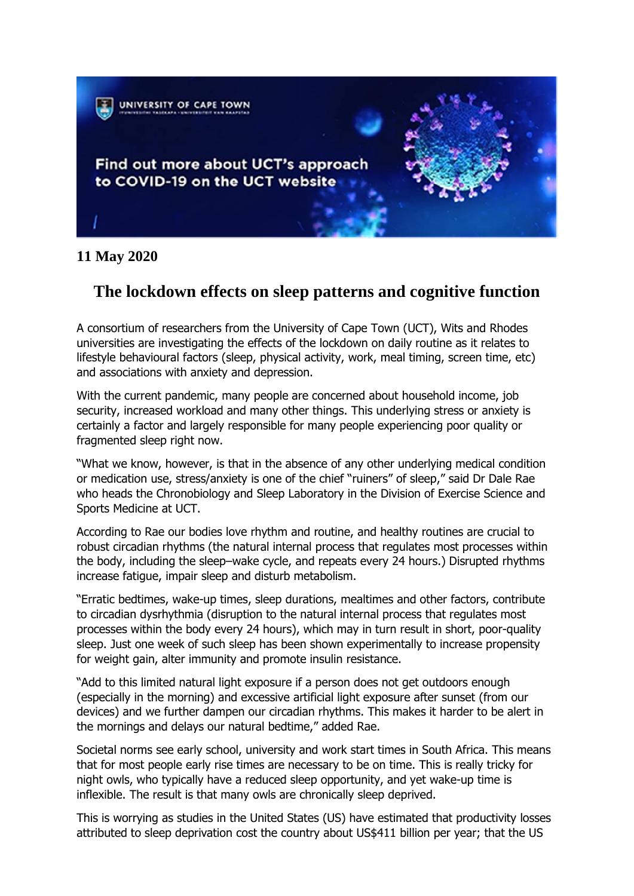

## **11 May 2020**

# **The lockdown effects on sleep patterns and cognitive function**

A consortium of researchers from the University of Cape Town (UCT), Wits and Rhodes universities are investigating the effects of the lockdown on daily routine as it relates to lifestyle behavioural factors (sleep, physical activity, work, meal timing, screen time, etc) and associations with anxiety and depression.

With the current pandemic, many people are concerned about household income, job security, increased workload and many other things. This underlying stress or anxiety is certainly a factor and largely responsible for many people experiencing poor quality or fragmented sleep right now.

"What we know, however, is that in the absence of any other underlying medical condition or medication use, stress/anxiety is one of the chief "ruiners" of sleep," said Dr Dale Rae who heads the Chronobiology and Sleep Laboratory in the Division of Exercise Science and Sports Medicine at UCT.

According to Rae our bodies love rhythm and routine, and healthy routines are crucial to robust circadian rhythms (the natural internal process that regulates most processes within the body, including the sleep–wake cycle, and repeats every 24 hours.) Disrupted rhythms increase fatigue, impair sleep and disturb metabolism.

"Erratic bedtimes, wake-up times, sleep durations, mealtimes and other factors, contribute to circadian dysrhythmia (disruption to the natural internal process that regulates most processes within the body every 24 hours), which may in turn result in short, poor-quality sleep. Just one week of such sleep has been shown experimentally to increase propensity for weight gain, alter immunity and promote insulin resistance.

"Add to this limited natural light exposure if a person does not get outdoors enough (especially in the morning) and excessive artificial light exposure after sunset (from our devices) and we further dampen our circadian rhythms. This makes it harder to be alert in the mornings and delays our natural bedtime," added Rae.

Societal norms see early school, university and work start times in South Africa. This means that for most people early rise times are necessary to be on time. This is really tricky for night owls, who typically have a reduced sleep opportunity, and yet wake-up time is inflexible. The result is that many owls are chronically sleep deprived.

This is worrying as studies in the United States (US) have estimated that productivity losses attributed to sleep deprivation cost the country about US\$411 billion per year; that the US